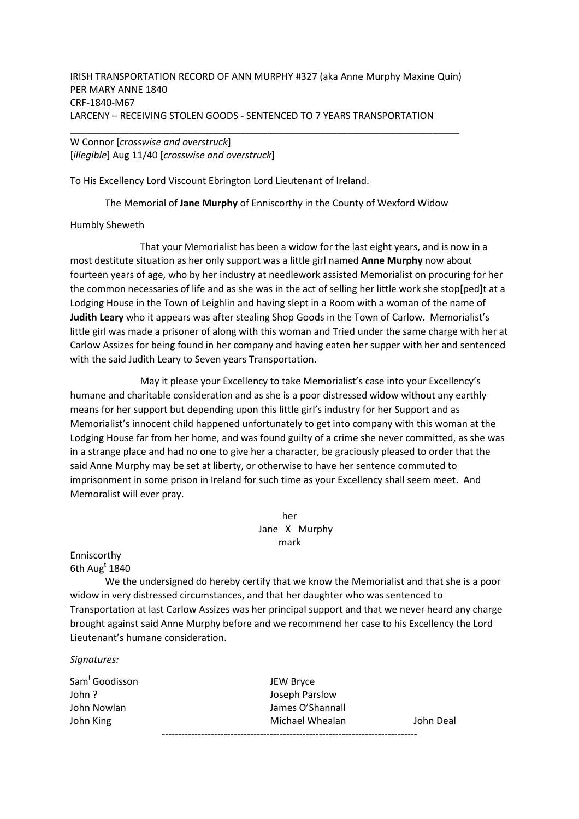IRISH TRANSPORTATION RECORD OF ANN MURPHY #327 (aka Anne Murphy Maxine Quin) PER MARY ANNE 1840 CRF-1840-M67 LARCENY – RECEIVING STOLEN GOODS - SENTENCED TO 7 YEARS TRANSPORTATION

\_\_\_\_\_\_\_\_\_\_\_\_\_\_\_\_\_\_\_\_\_\_\_\_\_\_\_\_\_\_\_\_\_\_\_\_\_\_\_\_\_\_\_\_\_\_\_\_\_\_\_\_\_\_\_\_\_\_\_\_\_\_\_\_\_\_\_\_\_\_\_\_\_

W Connor [*crosswise and overstruck*] [*illegible*] Aug 11/40 [*crosswise and overstruck*]

To His Excellency Lord Viscount Ebrington Lord Lieutenant of Ireland.

The Memorial of **Jane Murphy** of Enniscorthy in the County of Wexford Widow

## Humbly Sheweth

 That your Memorialist has been a widow for the last eight years, and is now in a most destitute situation as her only support was a little girl named **Anne Murphy** now about fourteen years of age, who by her industry at needlework assisted Memorialist on procuring for her the common necessaries of life and as she was in the act of selling her little work she stop[ped]t at a Lodging House in the Town of Leighlin and having slept in a Room with a woman of the name of **Judith Leary** who it appears was after stealing Shop Goods in the Town of Carlow. Memorialist's little girl was made a prisoner of along with this woman and Tried under the same charge with her at Carlow Assizes for being found in her company and having eaten her supper with her and sentenced with the said Judith Leary to Seven years Transportation.

 May it please your Excellency to take Memorialist's case into your Excellency's humane and charitable consideration and as she is a poor distressed widow without any earthly means for her support but depending upon this little girl's industry for her Support and as Memorialist's innocent child happened unfortunately to get into company with this woman at the Lodging House far from her home, and was found guilty of a crime she never committed, as she was in a strange place and had no one to give her a character, be graciously pleased to order that the said Anne Murphy may be set at liberty, or otherwise to have her sentence commuted to imprisonment in some prison in Ireland for such time as your Excellency shall seem meet. And Memoralist will ever pray.

> her Jane X Murphy mark

Enniscorthy 6th Aug $^{\rm t}$  1840

 We the undersigned do hereby certify that we know the Memorialist and that she is a poor widow in very distressed circumstances, and that her daughter who was sentenced to Transportation at last Carlow Assizes was her principal support and that we never heard any charge brought against said Anne Murphy before and we recommend her case to his Excellency the Lord Lieutenant's humane consideration.

*Signatures:* 

| Sam Goodisson | JEW Bryce        |           |  |  |
|---------------|------------------|-----------|--|--|
| John ?        | Joseph Parslow   |           |  |  |
| John Nowlan   | James O'Shannall |           |  |  |
| John King     | Michael Whealan  | John Deal |  |  |
|               |                  |           |  |  |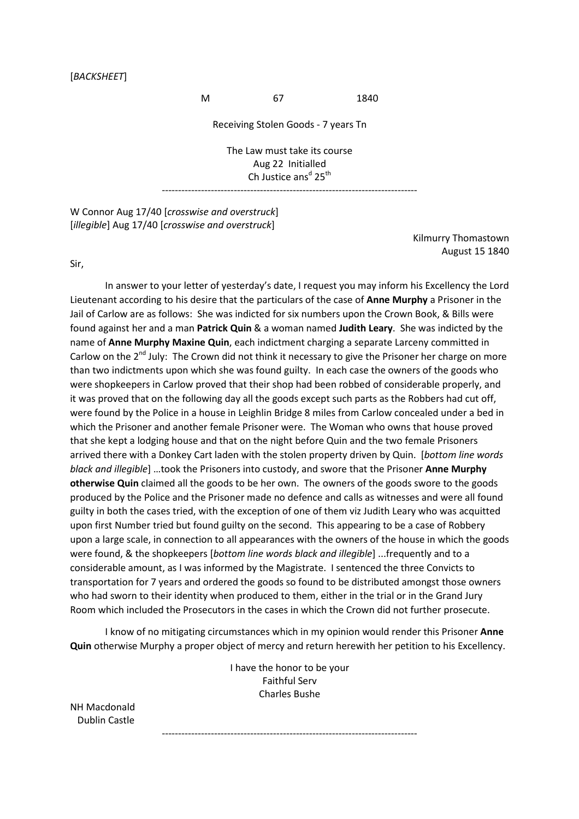## [*BACKSHEET*]

M 67 1840

Receiving Stolen Goods - 7 years Tn

The Law must take its course Aug 22 Initialled Ch Justice ans<sup>d</sup> 25<sup>th</sup>

------------------------------------------------------------------------------

W Connor Aug 17/40 [*crosswise and overstruck*] [*illegible*] Aug 17/40 [*crosswise and overstruck*]

> Kilmurry Thomastown August 15 1840

Sir,

 In answer to your letter of yesterday's date, I request you may inform his Excellency the Lord Lieutenant according to his desire that the particulars of the case of **Anne Murphy** a Prisoner in the Jail of Carlow are as follows: She was indicted for six numbers upon the Crown Book, & Bills were found against her and a man **Patrick Quin** & a woman named **Judith Leary**. She was indicted by the name of **Anne Murphy Maxine Quin**, each indictment charging a separate Larceny committed in Carlow on the 2<sup>nd</sup> July: The Crown did not think it necessary to give the Prisoner her charge on more than two indictments upon which she was found guilty. In each case the owners of the goods who were shopkeepers in Carlow proved that their shop had been robbed of considerable properly, and it was proved that on the following day all the goods except such parts as the Robbers had cut off, were found by the Police in a house in Leighlin Bridge 8 miles from Carlow concealed under a bed in which the Prisoner and another female Prisoner were. The Woman who owns that house proved that she kept a lodging house and that on the night before Quin and the two female Prisoners arrived there with a Donkey Cart laden with the stolen property driven by Quin. [*bottom line words black and illegible*] …took the Prisoners into custody, and swore that the Prisoner **Anne Murphy otherwise Quin** claimed all the goods to be her own. The owners of the goods swore to the goods produced by the Police and the Prisoner made no defence and calls as witnesses and were all found guilty in both the cases tried, with the exception of one of them viz Judith Leary who was acquitted upon first Number tried but found guilty on the second. This appearing to be a case of Robbery upon a large scale, in connection to all appearances with the owners of the house in which the goods were found, & the shopkeepers [*bottom line words black and illegible*] ...frequently and to a considerable amount, as I was informed by the Magistrate. I sentenced the three Convicts to transportation for 7 years and ordered the goods so found to be distributed amongst those owners who had sworn to their identity when produced to them, either in the trial or in the Grand Jury Room which included the Prosecutors in the cases in which the Crown did not further prosecute.

 I know of no mitigating circumstances which in my opinion would render this Prisoner **Anne Quin** otherwise Murphy a proper object of mercy and return herewith her petition to his Excellency.

> I have the honor to be your Faithful Serv Charles Bushe

------------------------------------------------------------------------------

NH Macdonald Dublin Castle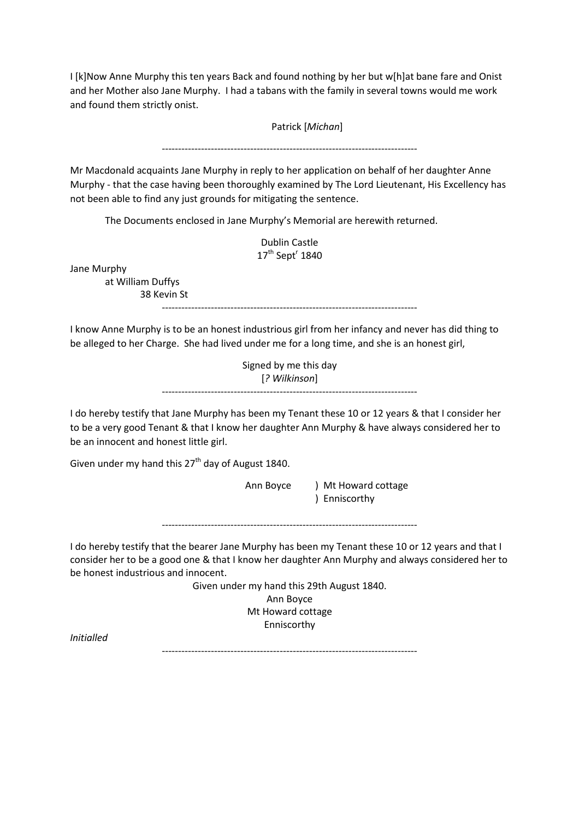I [k]Now Anne Murphy this ten years Back and found nothing by her but w[h]at bane fare and Onist and her Mother also Jane Murphy. I had a tabans with the family in several towns would me work and found them strictly onist.

Patrick [*Michan*]

------------------------------------------------------------------------------

Mr Macdonald acquaints Jane Murphy in reply to her application on behalf of her daughter Anne Murphy - that the case having been thoroughly examined by The Lord Lieutenant, His Excellency has not been able to find any just grounds for mitigating the sentence.

The Documents enclosed in Jane Murphy's Memorial are herewith returned.

Dublin Castle  $17^{\text{th}}$  Sept<sup>r</sup> 1840

Jane Murphy

at William Duffys 38 Kevin St

------------------------------------------------------------------------------

I know Anne Murphy is to be an honest industrious girl from her infancy and never has did thing to be alleged to her Charge. She had lived under me for a long time, and she is an honest girl,

> Signed by me this day [*? Wilkinson*] ------------------------------------------------------------------------------

I do hereby testify that Jane Murphy has been my Tenant these 10 or 12 years & that I consider her to be a very good Tenant & that I know her daughter Ann Murphy & have always considered her to be an innocent and honest little girl.

Given under my hand this  $27<sup>th</sup>$  day of August 1840.

Ann Boyce ) Mt Howard cottage ) Enniscorthy

------------------------------------------------------------------------------

I do hereby testify that the bearer Jane Murphy has been my Tenant these 10 or 12 years and that I consider her to be a good one & that I know her daughter Ann Murphy and always considered her to be honest industrious and innocent.

> Given under my hand this 29th August 1840. Ann Boyce Mt Howard cottage Enniscorthy

*Initialled* 

------------------------------------------------------------------------------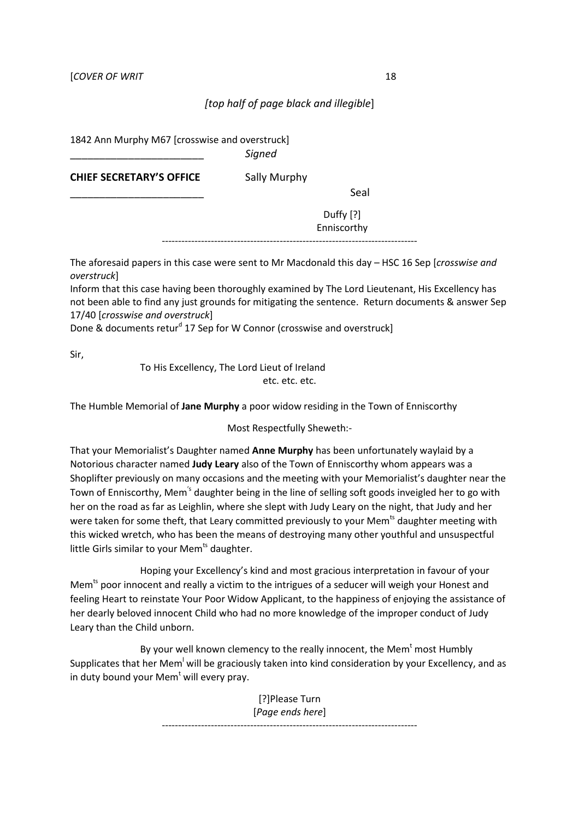## *[top half of page black and illegible*]

1842 Ann Murphy M67 [crosswise and overstruck]

\_\_\_\_\_\_\_\_\_\_\_\_\_\_\_\_\_\_\_\_\_\_\_ *Signed* 

**CHIEF SECRETARY'S OFFICE** Sally Murphy

\_\_\_\_\_\_\_\_\_\_\_\_\_\_\_\_\_\_\_\_\_\_\_ Seal

Duffy [?] Enniscorthy

------------------------------------------------------------------------------

The aforesaid papers in this case were sent to Mr Macdonald this day – HSC 16 Sep [*crosswise and overstruck*]

Inform that this case having been thoroughly examined by The Lord Lieutenant, His Excellency has not been able to find any just grounds for mitigating the sentence. Return documents & answer Sep 17/40 [*crosswise and overstruck*]

Done & documents retur<sup>d</sup> 17 Sep for W Connor (crosswise and overstruck]

Sir,

To His Excellency, The Lord Lieut of Ireland etc. etc. etc.

The Humble Memorial of **Jane Murphy** a poor widow residing in the Town of Enniscorthy

Most Respectfully Sheweth:-

That your Memorialist's Daughter named **Anne Murphy** has been unfortunately waylaid by a Notorious character named **Judy Leary** also of the Town of Enniscorthy whom appears was a Shoplifter previously on many occasions and the meeting with your Memorialist's daughter near the Town of Enniscorthy, Mem<sup>'s</sup> daughter being in the line of selling soft goods inveigled her to go with her on the road as far as Leighlin, where she slept with Judy Leary on the night, that Judy and her were taken for some theft, that Leary committed previously to your Mem<sup>ts</sup> daughter meeting with this wicked wretch, who has been the means of destroying many other youthful and unsuspectful little Girls similar to your Mem<sup>ts</sup> daughter.

 Hoping your Excellency's kind and most gracious interpretation in favour of your Mem<sup>ts</sup> poor innocent and really a victim to the intrigues of a seducer will weigh your Honest and feeling Heart to reinstate Your Poor Widow Applicant, to the happiness of enjoying the assistance of her dearly beloved innocent Child who had no more knowledge of the improper conduct of Judy Leary than the Child unborn.

By your well known clemency to the really innocent, the Mem<sup>t</sup> most Humbly Supplicates that her Mem<sup>1</sup> will be graciously taken into kind consideration by your Excellency, and as in duty bound your Mem<sup>t</sup> will every pray.

> [?]Please Turn [*Page ends here*] ------------------------------------------------------------------------------